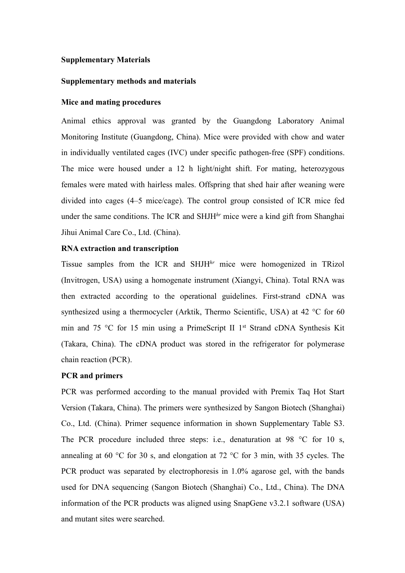#### **Supplementary Materials**

## **Supplementary methods and materials**

#### **Mice and mating procedures**

Animal ethics approval was granted by the Guangdong Laboratory Animal Monitoring Institute (Guangdong, China). Mice were provided with chow and water in individually ventilated cages (IVC) under specific pathogen-free (SPF) conditions. The mice were housed under a 12 h light/night shift. For mating, heterozygous females were mated with hairless males. Offspring that shed hair after weaning were divided into cages (4–5 mice/cage). The control group consisted of ICR mice fed under the same conditions. The ICR and SHJH*hr* mice were a kind gift from Shanghai Jihui Animal Care Co., Ltd. (China).

#### **RNA extraction and transcription**

Tissue samples from the ICR and SHJH*hr* mice were homogenized in TRizol (Invitrogen, USA) using a homogenate instrument (Xiangyi, China). Total RNA was then extracted according to the operational guidelines. First-strand cDNA was synthesized using a thermocycler (Arktik, Thermo Scientific, USA) at 42 °C for 60 min and 75 °C for 15 min using a PrimeScript II 1<sup>st</sup> Strand cDNA Synthesis Kit (Takara, China). The cDNA product was stored in the refrigerator for polymerase chain reaction (PCR).

## **PCR and primers**

PCR was performed according to the manual provided with Premix Taq Hot Start Version (Takara, China). The primers were synthesized by Sangon Biotech (Shanghai) Co., Ltd. (China). Primer sequence information in shown Supplementary Table S3. The PCR procedure included three steps: i.e., denaturation at 98 °C for 10 s, annealing at 60 °C for 30 s, and elongation at 72 °C for 3 min, with 35 cycles. The PCR product was separated by electrophoresis in 1.0% agarose gel, with the bands used for DNA sequencing (Sangon Biotech (Shanghai) Co., Ltd., China). The DNA information of the PCR products was aligned using SnapGene v3.2.1 software (USA) and mutant sites were searched.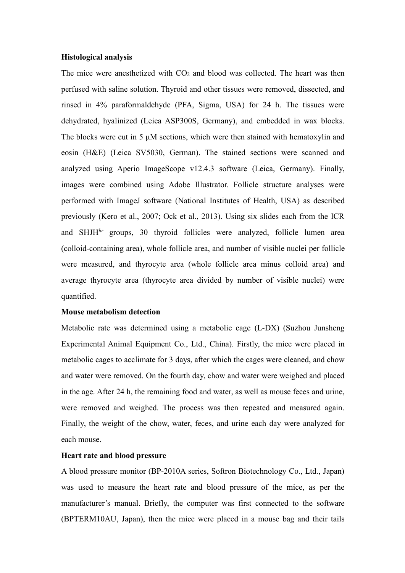#### **Histological analysis**

The mice were anesthetized with  $CO<sub>2</sub>$  and blood was collected. The heart was then perfused with saline solution. Thyroid and other tissues were removed, dissected, and rinsed in 4% paraformaldehyde (PFA, Sigma, USA) for 24 h. The tissues were dehydrated, hyalinized (Leica ASP300S, Germany), and embedded in wax blocks. The blocks were cut in 5 μM sections, which were then stained with hematoxylin and eosin (H&E) (Leica SV5030, German). The stained sections were scanned and analyzed using Aperio ImageScope v12.4.3 software (Leica, Germany). Finally, images were combined using Adobe Illustrator. Follicle structure analyses were performed with ImageJ software (National Institutes of Health, USA) as described previously (Kero et al., 2007; Ock et al., 2013). Using six slides each from the ICR and SHJH*hr* groups, 30 thyroid follicles were analyzed, follicle lumen area (colloid-containing area), whole follicle area, and number of visible nuclei per follicle were measured, and thyrocyte area (whole follicle area minus colloid area) and average thyrocyte area (thyrocyte area divided by number of visible nuclei) were quantified.

#### **Mouse metabolism detection**

Metabolic rate was determined using a metabolic cage (L-DX) (Suzhou Junsheng Experimental Animal Equipment Co., Ltd., China). Firstly, the mice were placed in metabolic cages to acclimate for 3 days, after which the cages were cleaned, and chow and water were removed. On the fourth day, chow and water were weighed and placed in the age. After 24 h, the remaining food and water, as well as mouse feces and urine, were removed and weighed. The process was then repeated and measured again. Finally, the weight of the chow, water, feces, and urine each day were analyzed for each mouse.

#### **Heart rate and blood pressure**

A blood pressure monitor (BP-2010A series, Softron Biotechnology Co., Ltd., Japan) was used to measure the heart rate and blood pressure of the mice, as per the manufacturer's manual. Briefly, the computer was first connected to the software (BPTERM10AU, Japan), then the mice were placed in a mouse bag and their tails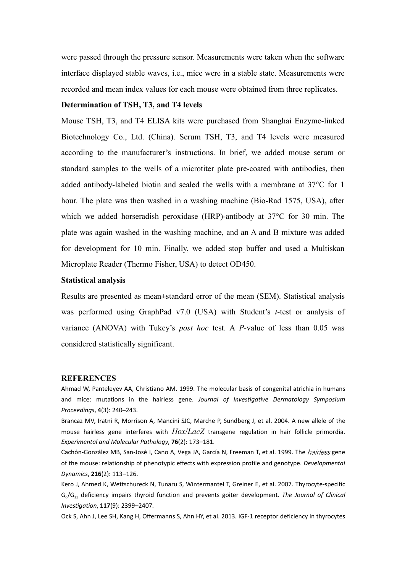were passed through the pressure sensor. Measurements were taken when the software interface displayed stable waves, i.e., mice were in a stable state. Measurements were recorded and mean index values for each mouse were obtained from three replicates.

#### **Determination of TSH, T3, and T4 levels**

Mouse TSH, T3, and T4 ELISA kits were purchased from Shanghai Enzyme-linked Biotechnology Co., Ltd. (China). Serum TSH, T3, and T4 levels were measured according to the manufacturer's instructions. In brief, we added mouse serum or standard samples to the wells of a microtiter plate pre-coated with antibodies, then added antibody-labeled biotin and sealed the wells with a membrane at 37°C for 1 hour. The plate was then washed in a washing machine (Bio-Rad 1575, USA), after which we added horseradish peroxidase (HRP)-antibody at 37°C for 30 min. The plate was again washed in the washing machine, and an A and B mixture was added for development for 10 min. Finally, we added stop buffer and used a Multiskan Microplate Reader (Thermo Fisher, USA) to detect OD450.

#### **Statistical analysis**

Results are presented as mean±standard error of the mean (SEM). Statistical analysis was performed using GraphPad v7.0 (USA) with Student's *t*-test or analysis of variance (ANOVA) with Tukey's *post hoc* test. A *P-*value of less than 0.05 was considered statistically significant.

#### **REFERENCES**

Ahmad W, Panteleyev AA, Christiano AM. 1999. The molecular basis of congenital atrichia in humans and mice: mutations in the hairless gene. *Journal of Investigative Dermatology Symposium Proceedings*, **4**(3): 240–243.

Brancaz MV, Iratni R, Morrison A, Mancini SJC, Marche P, Sundberg J, et al. 2004. A new allele of the mouse hairless gene interferes with  $Hox/LacZ$  transgene regulation in hair follicle primordia. *Experimental and Molecular Pathology*, **76**(2): 173–181.

Cachón-González MB, San-José I, Cano A, Vega JA, García N, Freeman T, et al. 1999. The *hairless* gene of the mouse: relationship of phenotypic effects with expression profile and genotype. *Developmental Dynamics*, **216**(2): 113–126.

Kero J, Ahmed K, Wettschureck N, Tunaru S, Wintermantel T, Greiner E, et al. 2007. Thyrocyte-specific Gq/G<sup>11</sup> deficiency impairs thyroid function and prevents goiter development. *The Journal of Clinical Investigation*, **117**(9): 2399–2407.

Ock S, Ahn J, Lee SH, Kang H, Offermanns S, Ahn HY, et al. 2013. IGF-1 receptor deficiency in thyrocytes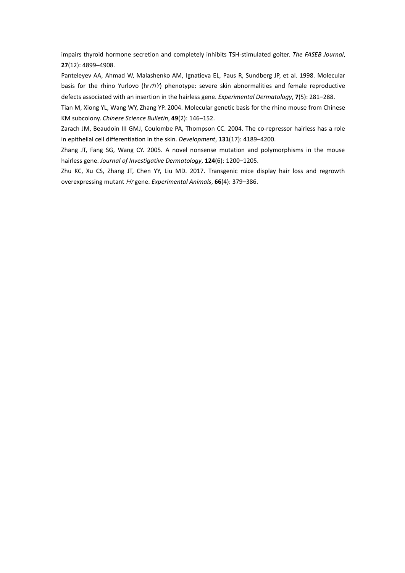impairs thyroid hormone secretion and completely inhibits TSH-stimulated goiter. *The FASEB Journal*, **27**(12): 4899–4908.

Panteleyev AA, Ahmad W, Malashenko AM, Ignatieva EL, Paus R, Sundberg JP, et al. 1998. Molecular basis for the rhino Yurlovo (hrr/t) phenotype: severe skin abnormalities and female reproductive defects associated with an insertion in the hairless gene. *Experimental Dermatology*, **7**(5): 281–288.

Tian M, Xiong YL, Wang WY, Zhang YP. 2004. Molecular genetic basis for the rhino mouse from Chinese KM subcolony. *Chinese Science Bulletin*, **49**(2): 146–152.

Zarach JM, Beaudoin III GMJ, Coulombe PA, Thompson CC. 2004. The co-repressor hairless has a role in epithelial cell differentiation in the skin. *Development*, **131**(17): 4189-4200.

Zhang JT, Fang SG, Wang CY. 2005. A novel nonsense mutation and polymorphisms in the mouse hairless gene. *Journal of Investigative Dermatology*, **124**(6): 1200–1205.

Zhu KC, Xu CS, Zhang JT, Chen YY, Liu MD. 2017. Transgenic mice display hair loss and regrowth overexpressing mutant Hr gene. *Experimental Animals*, **66**(4): 379–386.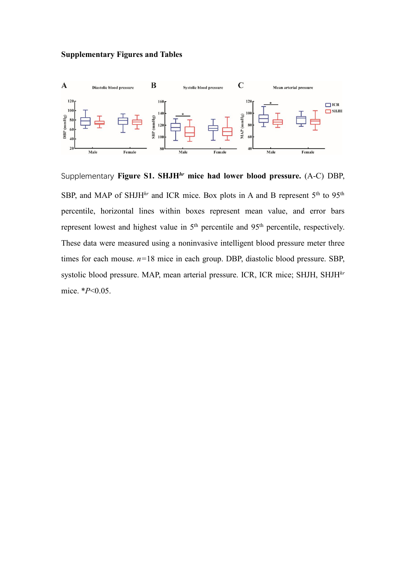# **Supplementary Figures and Tables**



Supplementary **Figure S1. SHJH***hr* **mice had lower blood pressure.** (A-C) DBP, SBP, and MAP of SHJH<sup>hr</sup> and ICR mice. Box plots in A and B represent  $5<sup>th</sup>$  to  $95<sup>th</sup>$ percentile, horizontal lines within boxes represent mean value, and error bars represent lowest and highest value in 5<sup>th</sup> percentile and 95<sup>th</sup> percentile, respectively. These data were measured using a noninvasive intelligent blood pressure meter three times for each mouse. *n=*18 mice in each group. DBP, diastolic blood pressure. SBP, systolic blood pressure. MAP, mean arterial pressure. ICR, ICR mice; SHJH, SHJH*hr* mice. \**P*<0.05.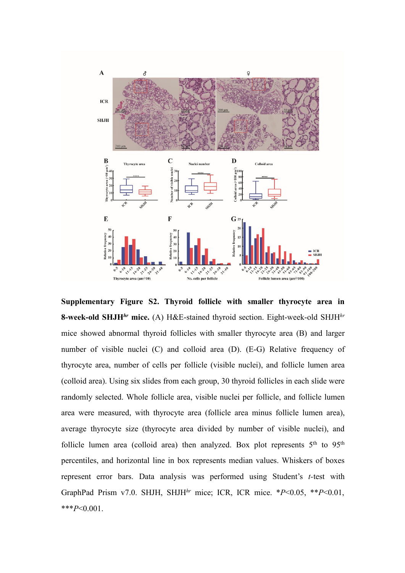

**Supplementary Figure S2. Thyroid follicle with smaller thyrocyte area in 8-week-old SHJH***hr* **mice.** (A) H&E-stained thyroid section. Eight-week-old SHJH*hr* mice showed abnormal thyroid follicles with smaller thyrocyte area (B) and larger number of visible nuclei (C) and colloid area (D). (E-G) Relative frequency of thyrocyte area, number of cells per follicle (visible nuclei), and follicle lumen area (colloid area). Using six slides from each group, 30 thyroid follicles in each slide were randomly selected. Whole follicle area, visible nuclei per follicle, and follicle lumen area were measured, with thyrocyte area (follicle area minus follicle lumen area), average thyrocyte size (thyrocyte area divided by number of visible nuclei), and follicle lumen area (colloid area) then analyzed. Box plot represents  $5<sup>th</sup>$  to  $95<sup>th</sup>$ percentiles, and horizontal line in box represents median values. Whiskers of boxes represent error bars. Data analysis was performed using Student's *t-*test with GraphPad Prism v7.0. SHJH, SHJH*hr* mice; ICR, ICR mice. \**P*<0.05, \*\**P*<0.01, \*\*\**P*<0.001.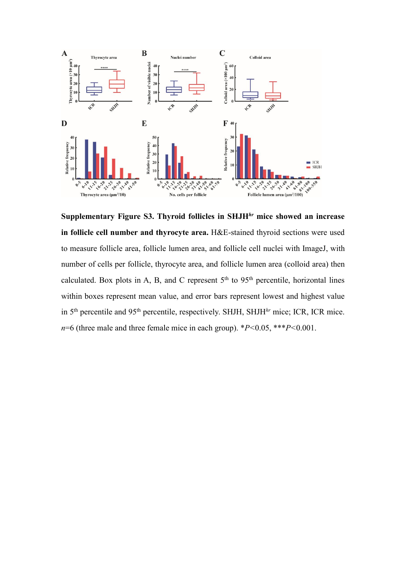

**Supplementary Figure S3. Thyroid follicles in SHJH***hr* **mice showed an increase in follicle cell number and thyrocyte area.** H&E-stained thyroid sections were used to measure follicle area, follicle lumen area, and follicle cell nuclei with ImageJ, with number of cells per follicle, thyrocyte area, and follicle lumen area (colloid area) then calculated. Box plots in A, B, and C represent  $5<sup>th</sup>$  to  $95<sup>th</sup>$  percentile, horizontal lines within boxes represent mean value, and error bars represent lowest and highest value in 5<sup>th</sup> percentile and 95<sup>th</sup> percentile, respectively. SHJH, SHJH<sup>hr</sup> mice; ICR, ICR mice. *n*=6 (three male and three female mice in each group). \**P<*0.05, \*\*\**P<*0.001.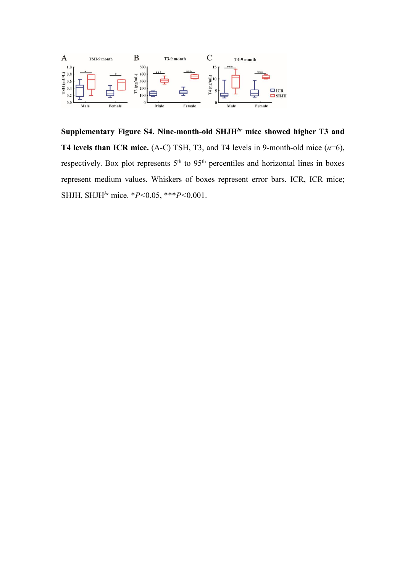

**Supplementary Figure S4. Nine-month-old SHJH***hr* **mice showed higher T3 and T4 levels than ICR mice.** (A-C) TSH, T3, and T4 levels in 9-month-old mice (*n*=6), respectively. Box plot represents 5<sup>th</sup> to 95<sup>th</sup> percentiles and horizontal lines in boxes represent medium values. Whiskers of boxes represent error bars. ICR, ICR mice; SHJH, SHJH*hr* mice. \**P<*0.05, \*\*\**P<*0.001.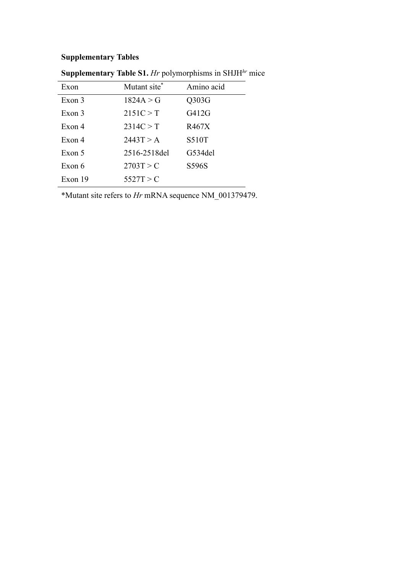# **Supplementary Tables**

| Exon    | Mutant site <sup>*</sup> | Amino acid   |
|---------|--------------------------|--------------|
| Exon 3  | 1824A > G                | Q303G        |
| Exon 3  | 2151C > T                | G412G        |
| Exon 4  | 2314C > T                | R467X        |
| Exon 4  | 2443T > A                | <b>S510T</b> |
| Exon 5  | 2516-2518del             | G534del      |
| Exon 6  | 2703T > C                | S596S        |
| Exon 19 | 5527T > C                |              |

**Supplementary Table S1.** *Hr* polymorphisms in SHJH*hr* mice

\*Mutant site refers to *Hr* mRNA sequence NM\_001379479.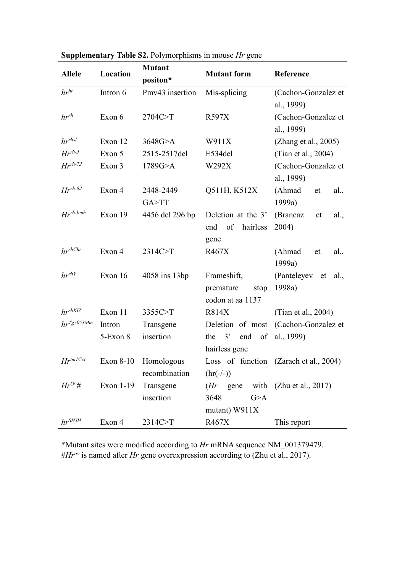|                      | Location  | <b>Mutant</b>   | <b>Mutant form</b> |                                        |  |
|----------------------|-----------|-----------------|--------------------|----------------------------------------|--|
| <b>Allele</b>        |           | positon*        |                    | Reference                              |  |
| $hr^{hr}$            | Intron 6  | Pmv43 insertion | Mis-splicing       | (Cachon-Gonzalez et                    |  |
|                      |           |                 |                    | al., 1999)                             |  |
| $hr^{rh}$            | Exon 6    | 2704C>T         | R597X              | (Cachon-Gonzalez et                    |  |
|                      |           |                 |                    | al., 1999)                             |  |
| hr <sup>r</sup> hsl  | Exon 12   | 3648G>A         | W911X              | (Zhang et al., 2005)                   |  |
| $Hr^{rh-J}$          | Exon 5    | 2515-2517del    | E534del            | (Tian et al., 2004)                    |  |
| $Hr^{rh-7J}$         | Exon 3    | 1789G > A       | W292X              | (Cachon-Gonzalez et                    |  |
|                      |           |                 |                    | al., 1999)                             |  |
| $Hr^{rh-8J}$         | Exon 4    | 2448-2449       | Q511H, K512X       | (Ahmad<br>al.,<br>et                   |  |
|                      |           | GA>TT           |                    | 1999a)                                 |  |
| $Hr^{rh\text{-}bmh}$ | Exon 19   | 4456 del 296 bp | Deletion at the 3' | (Brancaz<br>al.,<br>et                 |  |
|                      |           |                 | end<br>of hairless | 2004)                                  |  |
|                      |           |                 | gene               |                                        |  |
| $hr^{rhChr}$         | Exon 4    | 2314C>T         | R467X              | (Ahmad<br>al.,<br>et                   |  |
|                      |           |                 |                    | 1999a)                                 |  |
| $hr^{rhY}$           | Exon 16   | 4058 ins 13bp   | Frameshift,        | (Panteleyev et al.,                    |  |
|                      |           |                 | premature<br>stop  | 1998a)                                 |  |
|                      |           |                 | codon at aa 1137   |                                        |  |
| $hr^{rhKIZ}$         | Exon 11   | 3355C>T         | <b>R814X</b>       | (Tian et al., 2004)                    |  |
| $hr^{Tg5053Mm}$      | Intron    | Transgene       |                    | Deletion of most (Cachon-Gonzalez et   |  |
|                      | 5-Exon 8  | insertion       | end<br>the $3'$    | of al., 1999)                          |  |
|                      |           |                 | hairless gene      |                                        |  |
| $Hr^{tm1Cct}$        | Exon 8-10 | Homologous      |                    | Loss of function (Zarach et al., 2004) |  |
|                      |           | recombination   | $(hr(-/-))$        |                                        |  |
| $Hr^{Ov}$ #          | Exon 1-19 | Transgene       | $(Hr)$ gene        | with $(Zhu et al., 2017)$              |  |
|                      |           | insertion       | 3648<br>G>A        |                                        |  |
|                      |           |                 | mutant) W911X      |                                        |  |
| $hr^S HJH$           | Exon 4    | 2314C>T         | R467X              | This report                            |  |

# **Supplementary Table S2.** Polymorphisms in mouse *Hr* gene

\*Mutant sites were modified according to *Hr* mRNA sequence NM\_001379479. #*Hr ov* is named after *Hr* gene overexpression according to (Zhu et al., 2017).